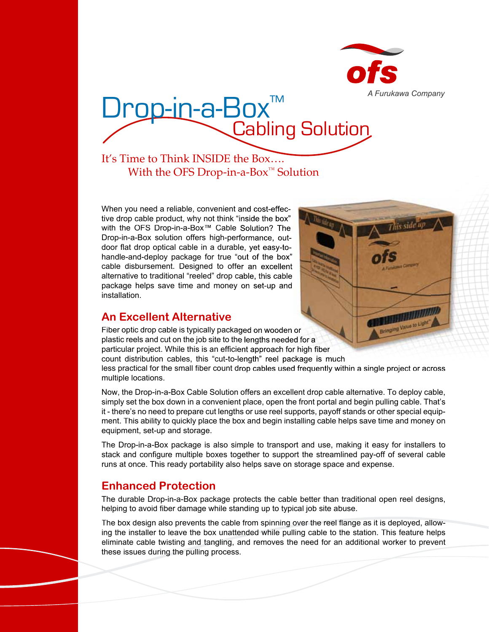

# Drop-in-a-Box™<br>Cabling Solution

# It's Time to Think INSIDE the Box…. With the OFS Drop-in-a-Box<sup>™</sup> Solution

When you need a reliable, convenient and cost-effective drop cable product, why not think "inside the box" with the OFS Drop-in-a-Box™ Cable Solution? The Drop-in-a-Box solution offers high-performance, outdoor flat drop optical cable in a durable, yet easy-tohandle-and-deploy package for true "out of the box" cable disbursement. Designed to offer an excellent alternative to traditional "reeled" drop cable, this cable package helps save time and money on set-up and installation.

# **An Excellent Alternative**



Fiber optic drop cable is typically packaged on wooden or plastic reels and cut on the job site to the lengths needed for a particular project. While this is an efficient approach for high fiber count distribution cables, this "cut-to-length" reel package is much less practical for the small fiber count drop cables used frequently within a single project or across multiple locations.

Now, the Drop-in-a-Box Cable Solution offers an excellent drop cable alternative. To deploy cable, simply set the box down in a convenient place, open the front portal and begin pulling cable. That's it - there's no need to prepare cut lengths or use reel supports, payoff stands or other special equipment. This ability to quickly place the box and begin installing cable helps save time and money on equipment, set-up and storage.

The Drop-in-a-Box package is also simple to transport and use, making it easy for installers to stack and configure multiple boxes together to support the streamlined pay-off of several cable runs at once. This ready portability also helps save on storage space and expense.

# **Enhanced Protection**

The durable Drop-in-a-Box package protects the cable better than traditional open reel designs, helping to avoid fiber damage while standing up to typical job site abuse.

The box design also prevents the cable from spinning over the reel flange as it is deployed, allowing the installer to leave the box unattended while pulling cable to the station. This feature helps eliminate cable twisting and tangling, and removes the need for an additional worker to prevent these issues during the pulling process.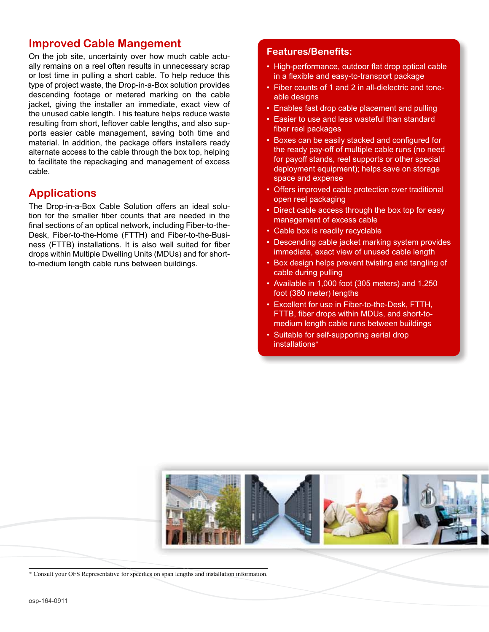### **Improved Cable Mangement**

On the job site, uncertainty over how much cable actually remains on a reel often results in unnecessary scrap or lost time in pulling a short cable. To help reduce this type of project waste, the Drop-in-a-Box solution provides descending footage or metered marking on the cable jacket, giving the installer an immediate, exact view of the unused cable length. This feature helps reduce waste resulting from short, leftover cable lengths, and also supports easier cable management, saving both time and material. In addition, the package offers installers ready alternate access to the cable through the box top, helping to facilitate the repackaging and management of excess cable.

# **Applications**

The Drop-in-a-Box Cable Solution offers an ideal solution for the smaller fiber counts that are needed in the final sections of an optical network, including Fiber-to-the-Desk, Fiber-to-the-Home (FTTH) and Fiber-to-the-Business (FTTB) installations. It is also well suited for fiber drops within Multiple Dwelling Units (MDUs) and for shortto-medium length cable runs between buildings.

#### **Features/Benefits:**

- High-performance, outdoor flat drop optical cable in a flexible and easy-to-transport package
- Fiber counts of 1 and 2 in all-dielectric and toneable designs
- Enables fast drop cable placement and pulling
- Easier to use and less wasteful than standard fiber reel packages
- Boxes can be easily stacked and configured for the ready pay-off of multiple cable runs (no need for payoff stands, reel supports or other special deployment equipment); helps save on storage space and expense
- Offers improved cable protection over traditional open reel packaging
- Direct cable access through the box top for easy management of excess cable
- Cable box is readily recyclable
- Descending cable jacket marking system provides immediate, exact view of unused cable length
- Box design helps prevent twisting and tangling of cable during pulling
- Available in 1,000 foot (305 meters) and 1,250 foot (380 meter) lengths
- Excellent for use in Fiber-to-the-Desk, FTTH, FTTB, fiber drops within MDUs, and short-tomedium length cable runs between buildings
- Suitable for self-supporting aerial drop installations\*



<sup>\*</sup> Consult your OFS Representative for specifics on span lengths and installation information.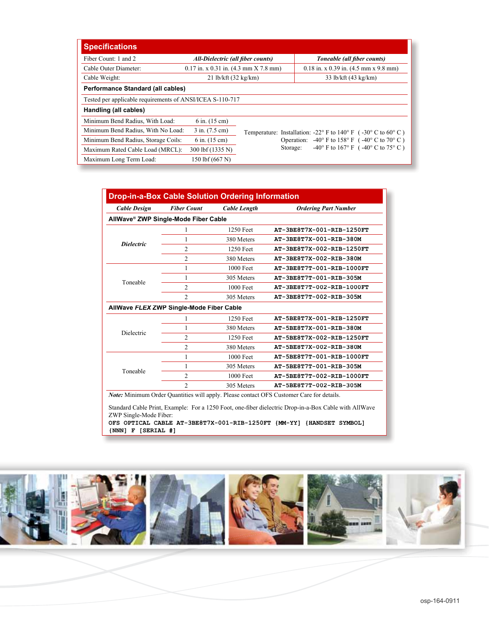| <b>Specifications</b>                                     |                                           |                                                                   |                                                                  |                                                       |
|-----------------------------------------------------------|-------------------------------------------|-------------------------------------------------------------------|------------------------------------------------------------------|-------------------------------------------------------|
| Fiber Count: 1 and 2                                      | All-Dielectric (all fiber counts)         |                                                                   |                                                                  | Toneable (all fiber counts)                           |
| Cable Outer Diameter:                                     | $0.17$ in. x 0.31 in. $(4.3$ mm X 7.8 mm) |                                                                   |                                                                  | $0.18$ in. x 0.39 in. $(4.5$ mm x 9.8 mm)             |
| Cable Weight:                                             | $21$ lb/kft $(32 \text{ kg/km})$          |                                                                   |                                                                  | 33 lb/kft (43 kg/km)                                  |
| Performance Standard (all cables)                         |                                           |                                                                   |                                                                  |                                                       |
| Tested per applicable requirements of ANSI/ICEA S-110-717 |                                           |                                                                   |                                                                  |                                                       |
| Handling (all cables)                                     |                                           |                                                                   |                                                                  |                                                       |
| Minimum Bend Radius, With Load:                           | $6$ in. $(15$ cm)                         |                                                                   |                                                                  |                                                       |
| Minimum Bend Radius, With No Load:                        | $3$ in. $(7.5$ cm)                        | Temperature: Installation: -22° F to 140° F ( $-30$ ° C to 60° C) |                                                                  |                                                       |
| Minimum Bend Radius, Storage Coils:                       | $6$ in. $(15$ cm)                         |                                                                   | Operation: $-40^{\circ}$ F to 158° F ( $-40^{\circ}$ C to 70° C) |                                                       |
| Maximum Rated Cable Load (MRCL):                          | 300 lbf (1335 N)                          |                                                                   | Storage:                                                         | $-40^{\circ}$ F to 167° F ( $-40^{\circ}$ C to 75° C) |
| Maximum Long Term Load:                                   | 150 lbf (667 N)                           |                                                                   |                                                                  |                                                       |

| <b>Cable Design</b> | <b>Fiber Count</b>                               | Cable Length | <b>Ordering Part Number</b> |
|---------------------|--------------------------------------------------|--------------|-----------------------------|
|                     | AllWave <sup>®</sup> ZWP Single-Mode Fiber Cable |              |                             |
| <b>Dielectric</b>   |                                                  | 1250 Feet    | AT-3BE8T7X-001-RIB-1250FT   |
|                     |                                                  | 380 Meters   | AT-3BE8T7X-001-RIB-380M     |
|                     | 2                                                | 1250 Feet    | AT-3BE8T7X-002-RIB-1250FT   |
|                     | $\overline{c}$                                   | 380 Meters   | AT-3BE8T7X-002-RIB-380M     |
| Toneable            |                                                  | 1000 Feet    | AT-3BE8T7T-001-RIB-1000FT   |
|                     |                                                  | 305 Meters   | AT-3BE8T7T-001-RIB-305M     |
|                     | 2                                                | 1000 Feet    | AT-3BE8T7T-002-RIB-1000FT   |
|                     | $\overline{c}$                                   | 305 Meters   | AT-3BE8T7T-002-RIB-305M     |
|                     | AllWave FLEXIZWP Single-Mode Fiber Cable         |              |                             |
| Dielectric          |                                                  | 1250 Feet    | AT-5BE8T7X-001-RIB-1250FT   |
|                     |                                                  | 380 Meters   | AT-5BE8T7X-001-RIB-380M     |
|                     | 2                                                | 1250 Feet    | AT-5BE8T7X-002-RIB-1250FT   |
|                     | $\overline{c}$                                   | 380 Meters   | AT-5BE8T7X-002-RIB-380M     |
| Toneable            |                                                  | 1000 Feet    | AT-5BE8T7T-001-RIB-1000FT   |
|                     | 1                                                | 305 Meters   | AT-5BE8T7T-001-RIB-305M     |
|                     | $\mathfrak{D}$                                   | 1000 Feet    | AT-5BE8T7T-002-RIB-1000FT   |
|                     | $\mathfrak{D}$                                   | 305 Meters   | AT-5BE8T7T-002-RIB-305M     |

Standard Cable Print, Example: For a 1250 Foot, one-fiber dielectric Drop-in-a-Box Cable with AllWave ZWP Single-Mode Fiber:

**OFS OPTICAL CABLE AT-3BE8T7X-001-RIB-1250FT {MM-YY] {HANDSET SYMBOL] {NNN] F [SERIAL #]**